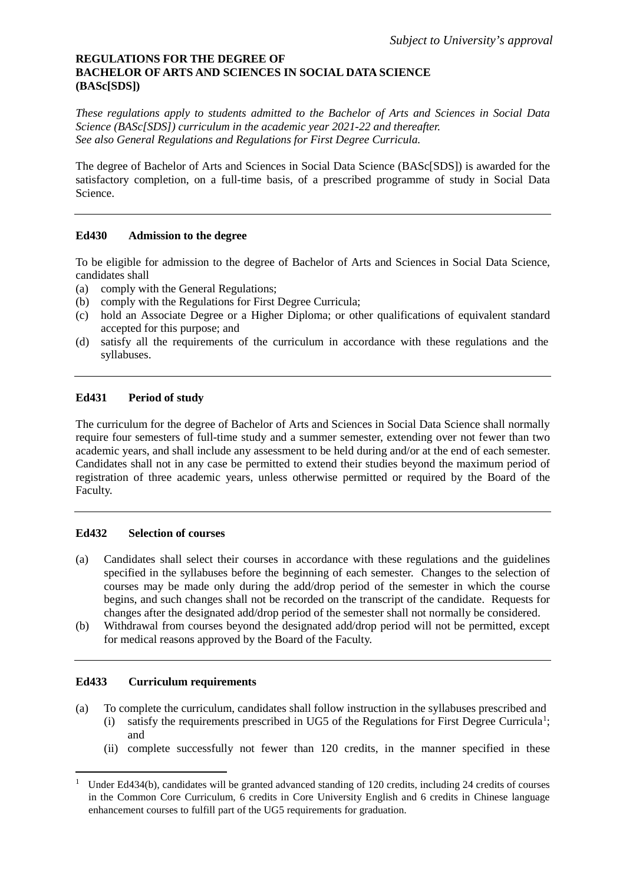## **REGULATIONS FOR THE DEGREE OF BACHELOR OF ARTS AND SCIENCES IN SOCIAL DATA SCIENCE (BASc[SDS])**

*These regulations apply to students admitted to the Bachelor of Arts and Sciences in Social Data Science (BASc[SDS]) curriculum in the academic year 2021-22 and thereafter. See also General Regulations and Regulations for First Degree Curricula.*

The degree of Bachelor of Arts and Sciences in Social Data Science (BASc[SDS]) is awarded for the satisfactory completion, on a full-time basis, of a prescribed programme of study in Social Data Science.

## **Ed430 Admission to the degree**

To be eligible for admission to the degree of Bachelor of Arts and Sciences in Social Data Science, candidates shall

- (a) comply with the General Regulations;
- (b) comply with the Regulations for First Degree Curricula;
- (c) hold an Associate Degree or a Higher Diploma; or other qualifications of equivalent standard accepted for this purpose; and
- (d) satisfy all the requirements of the curriculum in accordance with these regulations and the syllabuses.

## **Ed431 Period of study**

The curriculum for the degree of Bachelor of Arts and Sciences in Social Data Science shall normally require four semesters of full-time study and a summer semester, extending over not fewer than two academic years, and shall include any assessment to be held during and/or at the end of each semester. Candidates shall not in any case be permitted to extend their studies beyond the maximum period of registration of three academic years, unless otherwise permitted or required by the Board of the Faculty.

## **Ed432 Selection of courses**

- (a) Candidates shall select their courses in accordance with these regulations and the guidelines specified in the syllabuses before the beginning of each semester. Changes to the selection of courses may be made only during the add/drop period of the semester in which the course begins, and such changes shall not be recorded on the transcript of the candidate. Requests for changes after the designated add/drop period of the semester shall not normally be considered.
- (b) Withdrawal from courses beyond the designated add/drop period will not be permitted, except for medical reasons approved by the Board of the Faculty.

## **Ed433 Curriculum requirements**

- (a) To complete the curriculum, candidates shall follow instruction in the syllabuses prescribed and (i) satisfy the requirements prescribed in UG5 of the Regulations for First Degree Curricula<sup>[1](#page-0-0)</sup>; and
	- (ii) complete successfully not fewer than 120 credits, in the manner specified in these

<span id="page-0-0"></span><sup>&</sup>lt;sup>1</sup> Under Ed434(b), candidates will be granted advanced standing of 120 credits, including 24 credits of courses in the Common Core Curriculum, 6 credits in Core University English and 6 credits in Chinese language enhancement courses to fulfill part of the UG5 requirements for graduation.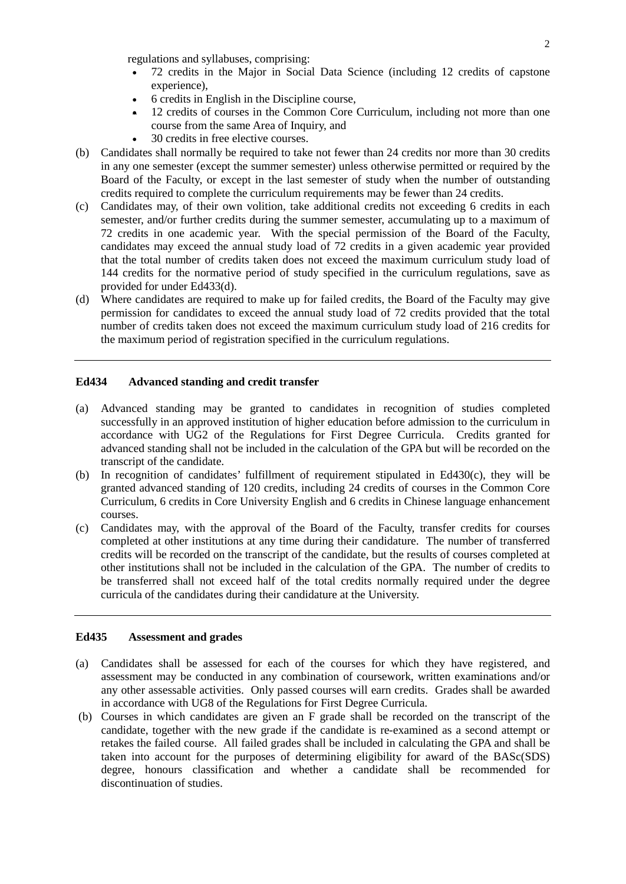regulations and syllabuses, comprising:

- 72 credits in the Major in Social Data Science (including 12 credits of capstone experience),
- 6 credits in English in the Discipline course,
- 12 credits of courses in the Common Core Curriculum, including not more than one course from the same Area of Inquiry, and
- 30 credits in free elective courses.
- (b) Candidates shall normally be required to take not fewer than 24 credits nor more than 30 credits in any one semester (except the summer semester) unless otherwise permitted or required by the Board of the Faculty, or except in the last semester of study when the number of outstanding credits required to complete the curriculum requirements may be fewer than 24 credits.
- (c) Candidates may, of their own volition, take additional credits not exceeding 6 credits in each semester, and/or further credits during the summer semester, accumulating up to a maximum of 72 credits in one academic year. With the special permission of the Board of the Faculty, candidates may exceed the annual study load of 72 credits in a given academic year provided that the total number of credits taken does not exceed the maximum curriculum study load of 144 credits for the normative period of study specified in the curriculum regulations, save as provided for under Ed433(d).
- (d) Where candidates are required to make up for failed credits, the Board of the Faculty may give permission for candidates to exceed the annual study load of 72 credits provided that the total number of credits taken does not exceed the maximum curriculum study load of 216 credits for the maximum period of registration specified in the curriculum regulations.

### **Ed434 Advanced standing and credit transfer**

- (a) Advanced standing may be granted to candidates in recognition of studies completed successfully in an approved institution of higher education before admission to the curriculum in accordance with UG2 of the Regulations for First Degree Curricula. Credits granted for advanced standing shall not be included in the calculation of the GPA but will be recorded on the transcript of the candidate.
- (b) In recognition of candidates' fulfillment of requirement stipulated in Ed430(c), they will be granted advanced standing of 120 credits, including 24 credits of courses in the Common Core Curriculum, 6 credits in Core University English and 6 credits in Chinese language enhancement courses.
- (c) Candidates may, with the approval of the Board of the Faculty, transfer credits for courses completed at other institutions at any time during their candidature. The number of transferred credits will be recorded on the transcript of the candidate, but the results of courses completed at other institutions shall not be included in the calculation of the GPA. The number of credits to be transferred shall not exceed half of the total credits normally required under the degree curricula of the candidates during their candidature at the University.

### **Ed435 Assessment and grades**

- (a) Candidates shall be assessed for each of the courses for which they have registered, and assessment may be conducted in any combination of coursework, written examinations and/or any other assessable activities. Only passed courses will earn credits. Grades shall be awarded in accordance with UG8 of the Regulations for First Degree Curricula.
- (b) Courses in which candidates are given an F grade shall be recorded on the transcript of the candidate, together with the new grade if the candidate is re-examined as a second attempt or retakes the failed course. All failed grades shall be included in calculating the GPA and shall be taken into account for the purposes of determining eligibility for award of the BASc(SDS) degree, honours classification and whether a candidate shall be recommended for discontinuation of studies.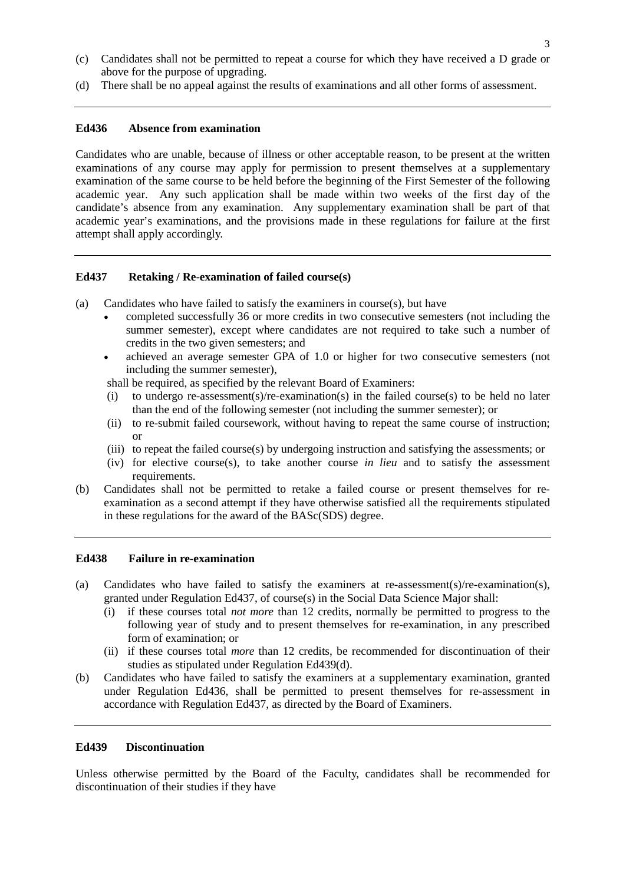- (c) Candidates shall not be permitted to repeat a course for which they have received a D grade or above for the purpose of upgrading.
- (d) There shall be no appeal against the results of examinations and all other forms of assessment.

## **Ed436 Absence from examination**

Candidates who are unable, because of illness or other acceptable reason, to be present at the written examinations of any course may apply for permission to present themselves at a supplementary examination of the same course to be held before the beginning of the First Semester of the following academic year. Any such application shall be made within two weeks of the first day of the candidate's absence from any examination. Any supplementary examination shall be part of that academic year's examinations, and the provisions made in these regulations for failure at the first attempt shall apply accordingly.

### **Ed437 Retaking / Re-examination of failed course(s)**

- (a) Candidates who have failed to satisfy the examiners in course $(s)$ , but have
	- completed successfully 36 or more credits in two consecutive semesters (not including the summer semester), except where candidates are not required to take such a number of credits in the two given semesters; and
	- achieved an average semester GPA of 1.0 or higher for two consecutive semesters (not including the summer semester),
	- shall be required, as specified by the relevant Board of Examiners:
	- (i) to undergo re-assessment(s)/re-examination(s) in the failed course(s) to be held no later than the end of the following semester (not including the summer semester); or
	- (ii) to re-submit failed coursework, without having to repeat the same course of instruction; or
	- (iii) to repeat the failed course(s) by undergoing instruction and satisfying the assessments; or
	- (iv) for elective course(s), to take another course *in lieu* and to satisfy the assessment requirements.
- (b) Candidates shall not be permitted to retake a failed course or present themselves for reexamination as a second attempt if they have otherwise satisfied all the requirements stipulated in these regulations for the award of the BASc(SDS) degree.

### **Ed438 Failure in re-examination**

- (a) Candidates who have failed to satisfy the examiners at re-assessment(s)/re-examination(s), granted under Regulation Ed437, of course $(s)$  in the Social Data Science Major shall:
	- (i) if these courses total *not more* than 12 credits, normally be permitted to progress to the following year of study and to present themselves for re-examination, in any prescribed form of examination; or
	- (ii) if these courses total *more* than 12 credits, be recommended for discontinuation of their studies as stipulated under Regulation Ed439(d).
- (b) Candidates who have failed to satisfy the examiners at a supplementary examination, granted under Regulation Ed436, shall be permitted to present themselves for re-assessment in accordance with Regulation Ed437, as directed by the Board of Examiners.

## **Ed439 Discontinuation**

Unless otherwise permitted by the Board of the Faculty, candidates shall be recommended for discontinuation of their studies if they have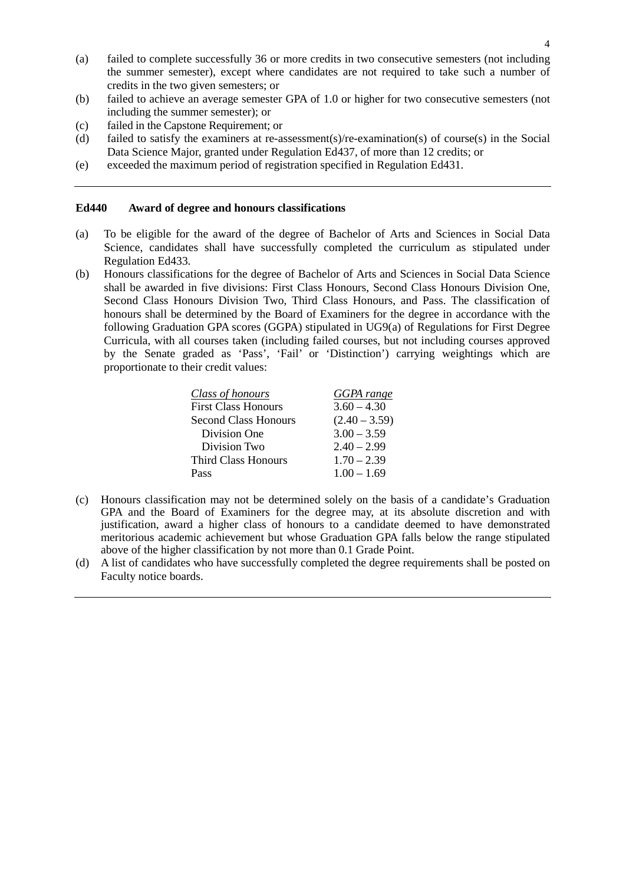- (a) failed to complete successfully 36 or more credits in two consecutive semesters (not including the summer semester), except where candidates are not required to take such a number of credits in the two given semesters; or
- (b) failed to achieve an average semester GPA of 1.0 or higher for two consecutive semesters (not including the summer semester); or
- (c) failed in the Capstone Requirement; or
- (d) failed to satisfy the examiners at re-assessment(s)/re-examination(s) of course(s) in the Social Data Science Major, granted under Regulation Ed437, of more than 12 credits; or
- (e) exceeded the maximum period of registration specified in Regulation Ed431.

#### **Ed440 Award of degree and honours classifications**

- (a) To be eligible for the award of the degree of Bachelor of Arts and Sciences in Social Data Science, candidates shall have successfully completed the curriculum as stipulated under Regulation Ed433.
- (b) Honours classifications for the degree of Bachelor of Arts and Sciences in Social Data Science shall be awarded in five divisions: First Class Honours, Second Class Honours Division One, Second Class Honours Division Two, Third Class Honours, and Pass. The classification of honours shall be determined by the Board of Examiners for the degree in accordance with the following Graduation GPA scores (GGPA) stipulated in UG9(a) of Regulations for First Degree Curricula, with all courses taken (including failed courses, but not including courses approved by the Senate graded as 'Pass', 'Fail' or 'Distinction') carrying weightings which are proportionate to their credit values:

| <b>Class of honours</b>     | <b>GGPA</b> range |
|-----------------------------|-------------------|
| <b>First Class Honours</b>  | $3.60 - 4.30$     |
| <b>Second Class Honours</b> | $(2.40 - 3.59)$   |
| Division One                | $3.00 - 3.59$     |
| Division Two                | $2.40 - 2.99$     |
| Third Class Honours         | $1.70 - 2.39$     |
| Pass                        | $1.00 - 1.69$     |

- (c) Honours classification may not be determined solely on the basis of a candidate's Graduation GPA and the Board of Examiners for the degree may, at its absolute discretion and with justification, award a higher class of honours to a candidate deemed to have demonstrated meritorious academic achievement but whose Graduation GPA falls below the range stipulated above of the higher classification by not more than 0.1 Grade Point.
- (d) A list of candidates who have successfully completed the degree requirements shall be posted on Faculty notice boards.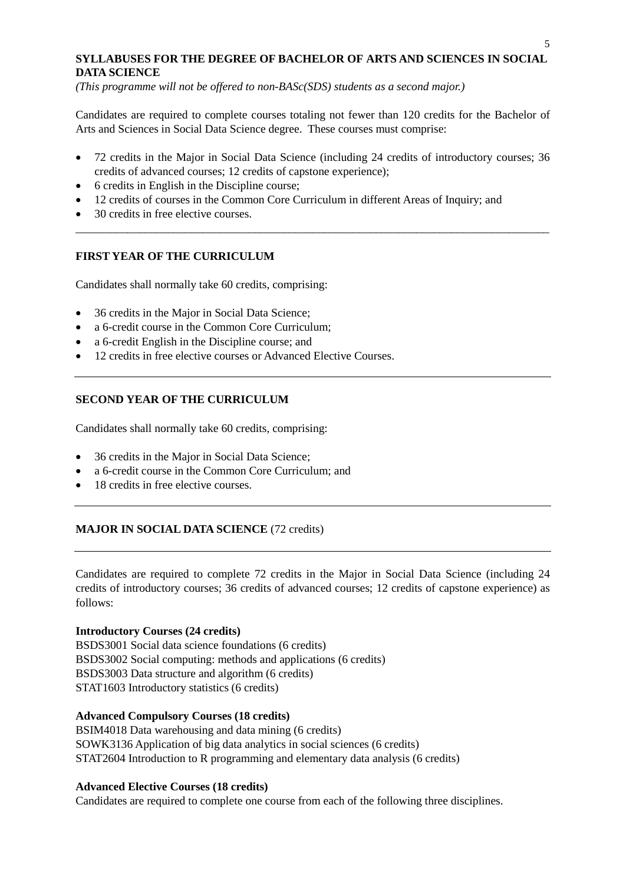## **SYLLABUSES FOR THE DEGREE OF BACHELOR OF ARTS AND SCIENCES IN SOCIAL DATA SCIENCE**

*(This programme will not be offered to non-BASc(SDS) students as a second major.)*

Candidates are required to complete courses totaling not fewer than 120 credits for the Bachelor of Arts and Sciences in Social Data Science degree. These courses must comprise:

• 72 credits in the Major in Social Data Science (including 24 credits of introductory courses; 36 credits of advanced courses; 12 credits of capstone experience);

\_\_\_\_\_\_\_\_\_\_\_\_\_\_\_\_\_\_\_\_\_\_\_\_\_\_\_\_\_\_\_\_\_\_\_\_\_\_\_\_\_\_\_\_\_\_\_\_\_\_\_\_\_\_\_\_\_\_\_\_\_\_\_\_\_\_\_\_\_\_\_\_\_\_\_\_\_\_\_\_\_\_

- 6 credits in English in the Discipline course;
- 12 credits of courses in the Common Core Curriculum in different Areas of Inquiry; and
- 30 credits in free elective courses.

# **FIRST YEAR OF THE CURRICULUM**

Candidates shall normally take 60 credits, comprising:

- 36 credits in the Major in Social Data Science;
- a 6-credit course in the Common Core Curriculum;
- a 6-credit English in the Discipline course; and
- 12 credits in free elective courses or Advanced Elective Courses.

# **SECOND YEAR OF THE CURRICULUM**

Candidates shall normally take 60 credits, comprising:

- 36 credits in the Major in Social Data Science;
- a 6-credit course in the Common Core Curriculum; and
- 18 credits in free elective courses.

# **MAJOR IN SOCIAL DATA SCIENCE** (72 credits)

Candidates are required to complete 72 credits in the Major in Social Data Science (including 24 credits of introductory courses; 36 credits of advanced courses; 12 credits of capstone experience) as follows:

## **Introductory Courses (24 credits)**

BSDS3001 Social data science foundations (6 credits) BSDS3002 Social computing: methods and applications (6 credits) BSDS3003 Data structure and algorithm (6 credits) STAT1603 Introductory statistics (6 credits)

## **Advanced Compulsory Courses (18 credits)**

BSIM4018 Data warehousing and data mining (6 credits) SOWK3136 Application of big data analytics in social sciences (6 credits) STAT2604 Introduction to R programming and elementary data analysis (6 credits)

## **Advanced Elective Courses (18 credits)**

Candidates are required to complete one course from each of the following three disciplines.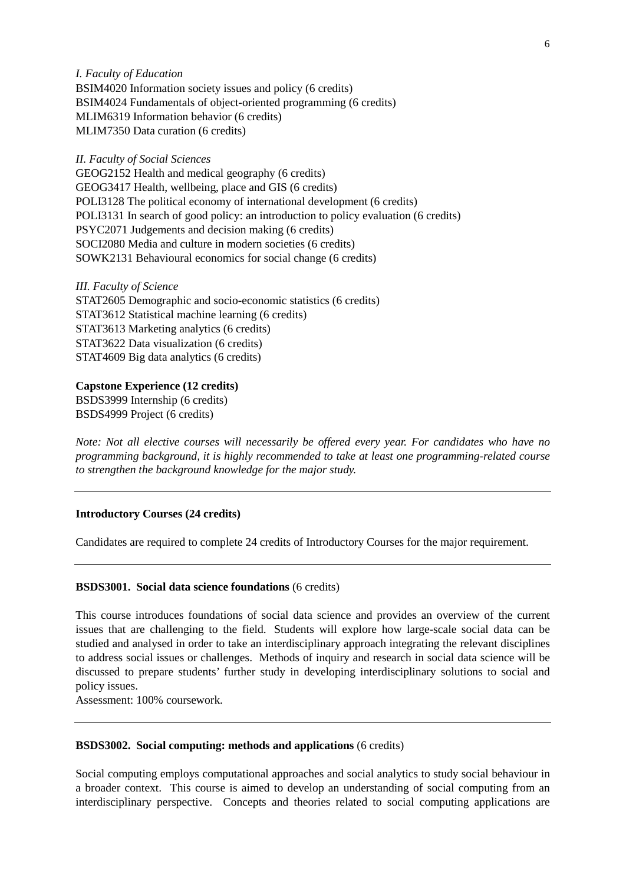*I. Faculty of Education* BSIM4020 Information society issues and policy (6 credits) BSIM4024 Fundamentals of object-oriented programming (6 credits) MLIM6319 Information behavior (6 credits) MLIM7350 Data curation (6 credits)

### *II. Faculty of Social Sciences*

GEOG2152 Health and medical geography (6 credits) GEOG3417 Health, wellbeing, place and GIS (6 credits) POLI3128 The political economy of international development (6 credits) POLI3131 In search of good policy: an introduction to policy evaluation (6 credits) PSYC2071 Judgements and decision making (6 credits) SOCI2080 Media and culture in modern societies (6 credits) SOWK2131 Behavioural economics for social change (6 credits)

*III. Faculty of Science*

STAT2605 Demographic and socio-economic statistics (6 credits) STAT3612 Statistical machine learning (6 credits) STAT3613 Marketing analytics (6 credits) STAT3622 Data visualization (6 credits) STAT4609 Big data analytics (6 credits)

#### **Capstone Experience (12 credits)**

BSDS3999 Internship (6 credits) BSDS4999 Project (6 credits)

*Note: Not all elective courses will necessarily be offered every year. For candidates who have no programming background, it is highly recommended to take at least one programming-related course to strengthen the background knowledge for the major study.*

### **Introductory Courses (24 credits)**

Candidates are required to complete 24 credits of Introductory Courses for the major requirement.

#### **BSDS3001. Social data science foundations** (6 credits)

This course introduces foundations of social data science and provides an overview of the current issues that are challenging to the field. Students will explore how large-scale social data can be studied and analysed in order to take an interdisciplinary approach integrating the relevant disciplines to address social issues or challenges. Methods of inquiry and research in social data science will be discussed to prepare students' further study in developing interdisciplinary solutions to social and policy issues.

Assessment: 100% coursework.

#### **BSDS3002. Social computing: methods and applications** (6 credits)

Social computing employs computational approaches and social analytics to study social behaviour in a broader context. This course is aimed to develop an understanding of social computing from an interdisciplinary perspective. Concepts and theories related to social computing applications are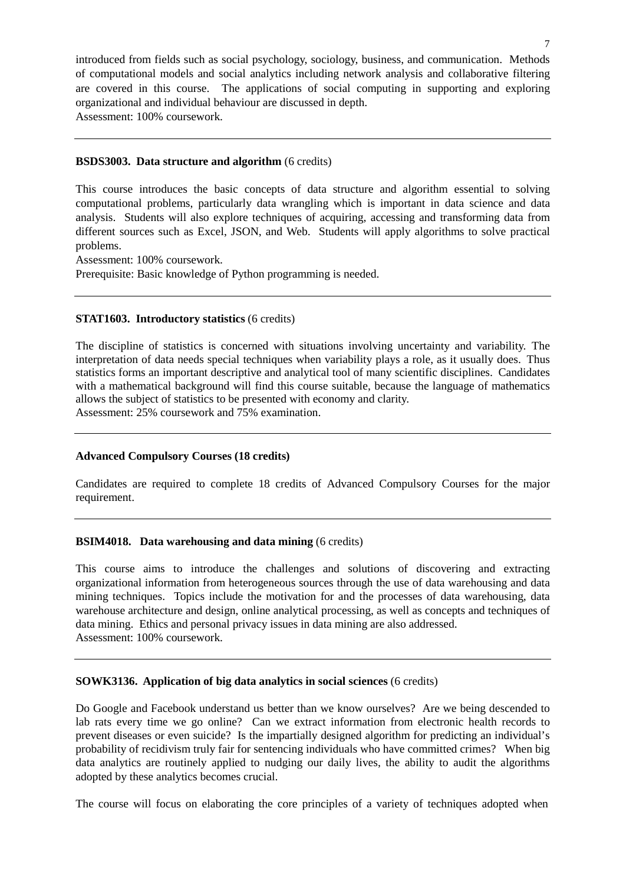introduced from fields such as social psychology, sociology, business, and communication. Methods of computational models and social analytics including network analysis and collaborative filtering are covered in this course. The applications of social computing in supporting and exploring organizational and individual behaviour are discussed in depth. Assessment: 100% coursework.

## **BSDS3003. Data structure and algorithm** (6 credits)

This course introduces the basic concepts of data structure and algorithm essential to solving computational problems, particularly data wrangling which is important in data science and data analysis. Students will also explore techniques of acquiring, accessing and transforming data from different sources such as Excel, JSON, and Web. Students will apply algorithms to solve practical problems.

Assessment: 100% coursework.

Prerequisite: Basic knowledge of Python programming is needed.

# **STAT1603. Introductory statistics** (6 credits)

The discipline of statistics is concerned with situations involving uncertainty and variability. The interpretation of data needs special techniques when variability plays a role, as it usually does. Thus statistics forms an important descriptive and analytical tool of many scientific disciplines. Candidates with a mathematical background will find this course suitable, because the language of mathematics allows the subject of statistics to be presented with economy and clarity.

Assessment: 25% coursework and 75% examination.

# **Advanced Compulsory Courses (18 credits)**

Candidates are required to complete 18 credits of Advanced Compulsory Courses for the major requirement.

# **BSIM4018. Data warehousing and data mining** (6 credits)

This course aims to introduce the challenges and solutions of discovering and extracting organizational information from heterogeneous sources through the use of data warehousing and data mining techniques. Topics include the motivation for and the processes of data warehousing, data warehouse architecture and design, online analytical processing, as well as concepts and techniques of data mining. Ethics and personal privacy issues in data mining are also addressed. Assessment: 100% coursework.

# **SOWK3136. Application of big data analytics in social sciences** (6 credits)

Do Google and Facebook understand us better than we know ourselves? Are we being descended to lab rats every time we go online? Can we extract information from electronic health records to prevent diseases or even suicide? Is the impartially designed algorithm for predicting an individual's probability of recidivism truly fair for sentencing individuals who have committed crimes? When big data analytics are routinely applied to nudging our daily lives, the ability to audit the algorithms adopted by these analytics becomes crucial.

The course will focus on elaborating the core principles of a variety of techniques adopted when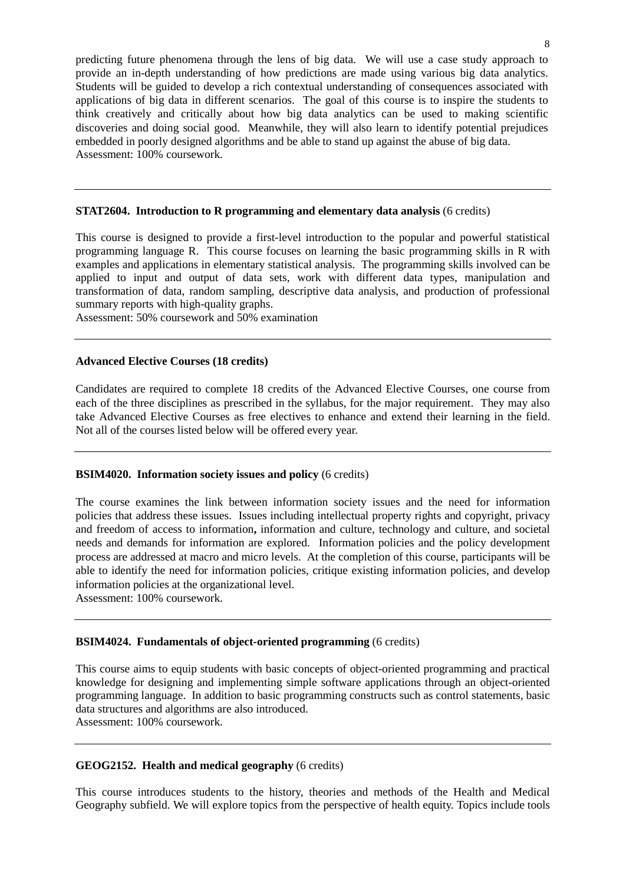predicting future phenomena through the lens of big data. We will use a case study approach to provide an in-depth understanding of how predictions are made using various big data analytics. Students will be guided to develop a rich contextual understanding of consequences associated with applications of big data in different scenarios. The goal of this course is to inspire the students to think creatively and critically about how big data analytics can be used to making scientific discoveries and doing social good. Meanwhile, they will also learn to identify potential prejudices embedded in poorly designed algorithms and be able to stand up against the abuse of big data. Assessment: 100% coursework.

#### **STAT2604. Introduction to R programming and elementary data analysis** (6 credits)

This course is designed to provide a first-level introduction to the popular and powerful statistical programming language R. This course focuses on learning the basic programming skills in R with examples and applications in elementary statistical analysis. The programming skills involved can be applied to input and output of data sets, work with different data types, manipulation and transformation of data, random sampling, descriptive data analysis, and production of professional summary reports with high-quality graphs.

Assessment: 50% coursework and 50% examination

#### **Advanced Elective Courses (18 credits)**

Candidates are required to complete 18 credits of the Advanced Elective Courses, one course from each of the three disciplines as prescribed in the syllabus, for the major requirement. They may also take Advanced Elective Courses as free electives to enhance and extend their learning in the field. Not all of the courses listed below will be offered every year.

#### **BSIM4020.** Information society issues and policy (6 credits)

The course examines the link between information society issues and the need for information policies that address these issues. Issues including intellectual property rights and copyright, privacy and freedom of access to information**,** information and culture, technology and culture, and societal needs and demands for information are explored.Information policies and the policy development process are addressed at macro and micro levels. At the completion of this course, participants will be able to identify the need for information policies, critique existing information policies, and develop information policies at the organizational level.

Assessment: 100% coursework.

### **BSIM4024. Fundamentals of object-oriented programming** (6 credits)

This course aims to equip students with basic concepts of object-oriented programming and practical knowledge for designing and implementing simple software applications through an object-oriented programming language. In addition to basic programming constructs such as control statements, basic data structures and algorithms are also introduced.

Assessment: 100% coursework.

#### **GEOG2152. Health and medical geography** (6 credits)

This course introduces students to the history, theories and methods of the Health and Medical Geography subfield. We will explore topics from the perspective of health equity. Topics include tools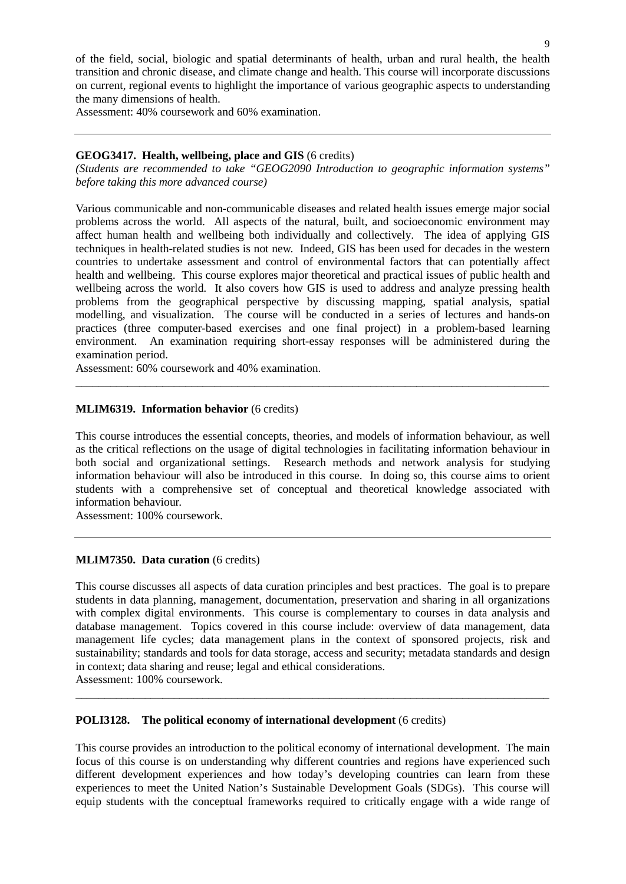Assessment: 40% coursework and 60% examination.

## **GEOG3417. Health, wellbeing, place and GIS** (6 credits)

*(Students are recommended to take "GEOG2090 Introduction to geographic information systems" before taking this more advanced course)* 

Various communicable and non-communicable diseases and related health issues emerge major social problems across the world. All aspects of the natural, built, and socioeconomic environment may affect human health and wellbeing both individually and collectively. The idea of applying GIS techniques in health-related studies is not new. Indeed, GIS has been used for decades in the western countries to undertake assessment and control of environmental factors that can potentially affect health and wellbeing. This course explores major theoretical and practical issues of public health and wellbeing across the world. It also covers how GIS is used to address and analyze pressing health problems from the geographical perspective by discussing mapping, spatial analysis, spatial modelling, and visualization. The course will be conducted in a series of lectures and hands-on practices (three computer-based exercises and one final project) in a problem-based learning environment. An examination requiring short-essay responses will be administered during the examination period.

Assessment: 60% coursework and 40% examination.

## **MLIM6319. Information behavior** (6 credits)

This course introduces the essential concepts, theories, and models of information behaviour, as well as the critical reflections on the usage of digital technologies in facilitating information behaviour in both social and organizational settings. Research methods and network analysis for studying information behaviour will also be introduced in this course. In doing so, this course aims to orient students with a comprehensive set of conceptual and theoretical knowledge associated with information behaviour.

\_\_\_\_\_\_\_\_\_\_\_\_\_\_\_\_\_\_\_\_\_\_\_\_\_\_\_\_\_\_\_\_\_\_\_\_\_\_\_\_\_\_\_\_\_\_\_\_\_\_\_\_\_\_\_\_\_\_\_\_\_\_\_\_\_\_\_\_\_\_\_\_\_\_\_\_\_\_\_\_\_\_

Assessment: 100% coursework.

## **MLIM7350. Data curation** (6 credits)

This course discusses all aspects of data curation principles and best practices. The goal is to prepare students in data planning, management, documentation, preservation and sharing in all organizations with complex digital environments. This course is complementary to courses in data analysis and database management. Topics covered in this course include: overview of data management, data management life cycles; data management plans in the context of sponsored projects, risk and sustainability; standards and tools for data storage, access and security; metadata standards and design in context; data sharing and reuse; legal and ethical considerations.

\_\_\_\_\_\_\_\_\_\_\_\_\_\_\_\_\_\_\_\_\_\_\_\_\_\_\_\_\_\_\_\_\_\_\_\_\_\_\_\_\_\_\_\_\_\_\_\_\_\_\_\_\_\_\_\_\_\_\_\_\_\_\_\_\_\_\_\_\_\_\_\_\_\_\_\_\_\_\_\_\_\_

Assessment: 100% coursework.

## **POLI3128. The political economy of international development** (6 credits)

This course provides an introduction to the political economy of international development. The main focus of this course is on understanding why different countries and regions have experienced such different development experiences and how today's developing countries can learn from these experiences to meet the United Nation's Sustainable Development Goals (SDGs). This course will equip students with the conceptual frameworks required to critically engage with a wide range of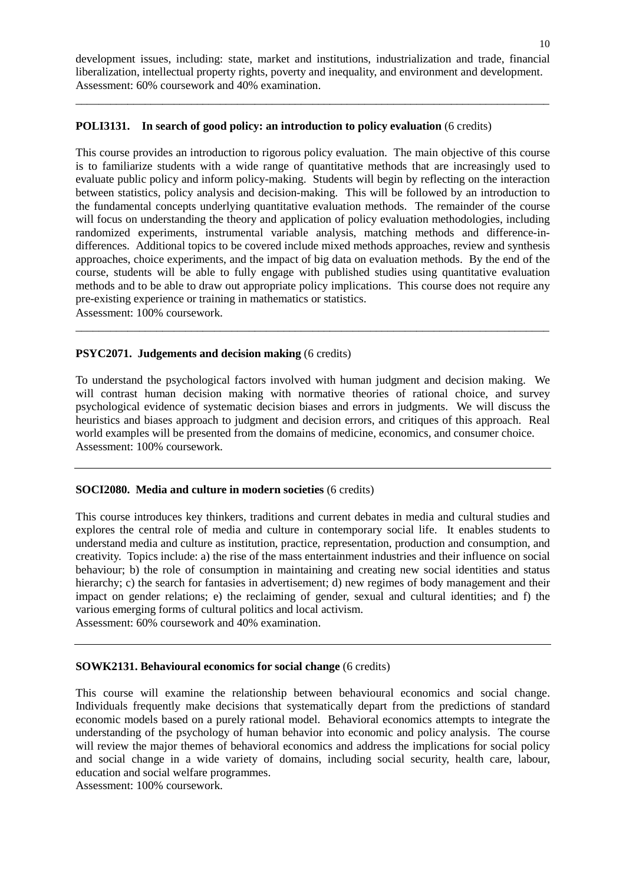development issues, including: state, market and institutions, industrialization and trade, financial liberalization, intellectual property rights, poverty and inequality, and environment and development. Assessment: 60% coursework and 40% examination.

\_\_\_\_\_\_\_\_\_\_\_\_\_\_\_\_\_\_\_\_\_\_\_\_\_\_\_\_\_\_\_\_\_\_\_\_\_\_\_\_\_\_\_\_\_\_\_\_\_\_\_\_\_\_\_\_\_\_\_\_\_\_\_\_\_\_\_\_\_\_\_\_\_\_\_\_\_\_\_\_\_\_

### **POLI3131. In search of good policy: an introduction to policy evaluation** (6 credits)

This course provides an introduction to rigorous policy evaluation. The main objective of this course is to familiarize students with a wide range of quantitative methods that are increasingly used to evaluate public policy and inform policy-making. Students will begin by reflecting on the interaction between statistics, policy analysis and decision-making. This will be followed by an introduction to the fundamental concepts underlying quantitative evaluation methods. The remainder of the course will focus on understanding the theory and application of policy evaluation methodologies, including randomized experiments, instrumental variable analysis, matching methods and difference-indifferences. Additional topics to be covered include mixed methods approaches, review and synthesis approaches, choice experiments, and the impact of big data on evaluation methods. By the end of the course, students will be able to fully engage with published studies using quantitative evaluation methods and to be able to draw out appropriate policy implications. This course does not require any pre-existing experience or training in mathematics or statistics. Assessment: 100% coursework.

\_\_\_\_\_\_\_\_\_\_\_\_\_\_\_\_\_\_\_\_\_\_\_\_\_\_\_\_\_\_\_\_\_\_\_\_\_\_\_\_\_\_\_\_\_\_\_\_\_\_\_\_\_\_\_\_\_\_\_\_\_\_\_\_\_\_\_\_\_\_\_\_\_\_\_\_\_\_\_\_\_\_

## **PSYC2071. Judgements and decision making** (6 credits)

To understand the psychological factors involved with human judgment and decision making. We will contrast human decision making with normative theories of rational choice, and survey psychological evidence of systematic decision biases and errors in judgments. We will discuss the heuristics and biases approach to judgment and decision errors, and critiques of this approach. Real world examples will be presented from the domains of medicine, economics, and consumer choice. Assessment: 100% coursework.

## **SOCI2080. Media and culture in modern societies** (6 credits)

This course introduces key thinkers, traditions and current debates in media and cultural studies and explores the central role of media and culture in contemporary social life. It enables students to understand media and culture as institution, practice, representation, production and consumption, and creativity. Topics include: a) the rise of the mass entertainment industries and their influence on social behaviour; b) the role of consumption in maintaining and creating new social identities and status hierarchy; c) the search for fantasies in advertisement; d) new regimes of body management and their impact on gender relations; e) the reclaiming of gender, sexual and cultural identities; and f) the various emerging forms of cultural politics and local activism.

Assessment: 60% coursework and 40% examination.

#### **SOWK2131. Behavioural economics for social change** (6 credits)

This course will examine the relationship between behavioural economics and social change. Individuals frequently make decisions that systematically depart from the predictions of standard economic models based on a purely rational model. Behavioral economics attempts to integrate the understanding of the psychology of human behavior into economic and policy analysis. The course will review the major themes of behavioral economics and address the implications for social policy and social change in a wide variety of domains, including social security, health care, labour, education and social welfare programmes.

Assessment: 100% coursework.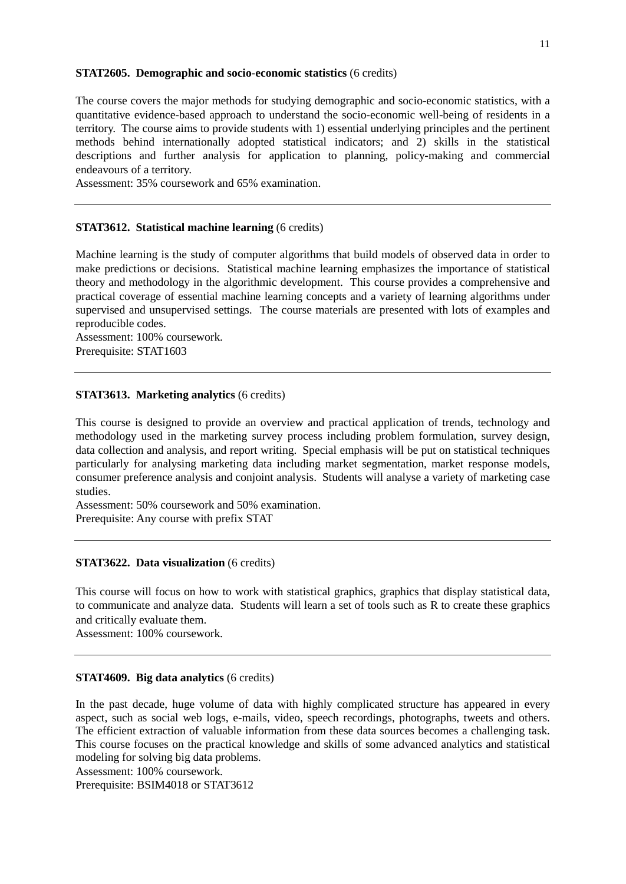#### **STAT2605. Demographic and socio-economic statistics** (6 credits)

The course covers the major methods for studying demographic and socio-economic statistics, with a quantitative evidence-based approach to understand the socio-economic well-being of residents in a territory. The course aims to provide students with 1) essential underlying principles and the pertinent methods behind internationally adopted statistical indicators; and 2) skills in the statistical descriptions and further analysis for application to planning, policy-making and commercial endeavours of a territory.

Assessment: 35% coursework and 65% examination.

### **STAT3612. Statistical machine learning** (6 credits)

Machine learning is the study of computer algorithms that build models of observed data in order to make predictions or decisions. Statistical machine learning emphasizes the importance of statistical theory and methodology in the algorithmic development. This course provides a comprehensive and practical coverage of essential machine learning concepts and a variety of learning algorithms under supervised and unsupervised settings. The course materials are presented with lots of examples and reproducible codes.

Assessment: 100% coursework. Prerequisite: STAT1603

## **STAT3613. Marketing analytics** (6 credits)

This course is designed to provide an overview and practical application of trends, technology and methodology used in the marketing survey process including problem formulation, survey design, data collection and analysis, and report writing. Special emphasis will be put on statistical techniques particularly for analysing marketing data including market segmentation, market response models, consumer preference analysis and conjoint analysis. Students will analyse a variety of marketing case studies.

Assessment: 50% coursework and 50% examination. Prerequisite: Any course with prefix STAT

#### **STAT3622. Data visualization** (6 credits)

This course will focus on how to work with statistical graphics, graphics that display statistical data, to communicate and analyze data. Students will learn a set of tools such as R to create these graphics and critically evaluate them.

Assessment: 100% coursework.

### **STAT4609. Big data analytics** (6 credits)

In the past decade, huge volume of data with highly complicated structure has appeared in every aspect, such as social web logs, e-mails, video, speech recordings, photographs, tweets and others. The efficient extraction of valuable information from these data sources becomes a challenging task. This course focuses on the practical knowledge and skills of some advanced analytics and statistical modeling for solving big data problems.

Assessment: 100% coursework.

Prerequisite: BSIM4018 or STAT3612